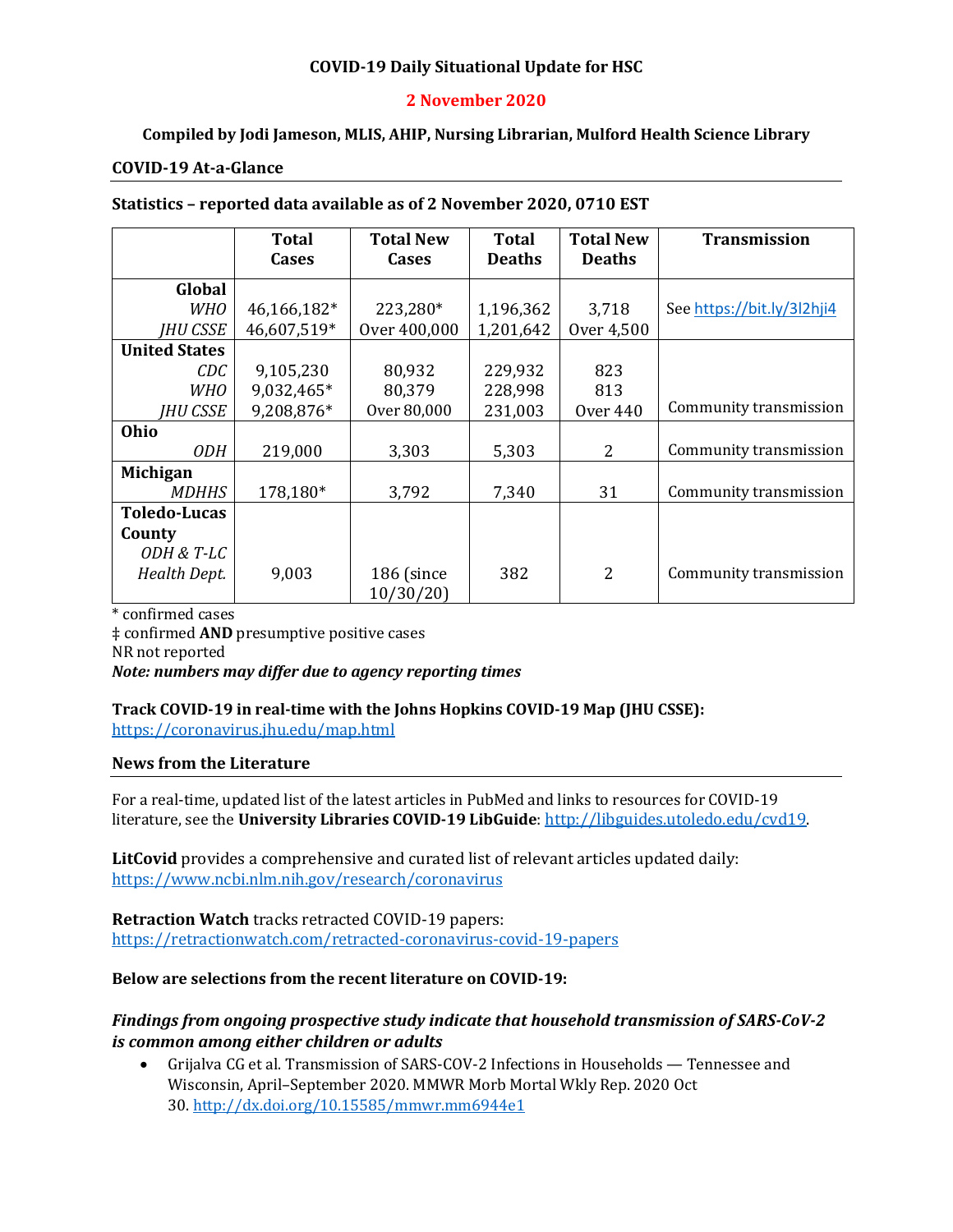### **COVID-19 Daily Situational Update for HSC**

### **2 November 2020**

### **Compiled by Jodi Jameson, MLIS, AHIP, Nursing Librarian, Mulford Health Science Library**

#### **COVID-19 At-a-Glance**

#### **Statistics – reported data available as of 2 November 2020, 0710 EST**

|                      | <b>Total</b> | <b>Total New</b> | <b>Total</b>  | <b>Total New</b> | <b>Transmission</b>        |
|----------------------|--------------|------------------|---------------|------------------|----------------------------|
|                      | <b>Cases</b> | <b>Cases</b>     | <b>Deaths</b> | <b>Deaths</b>    |                            |
| Global               |              |                  |               |                  |                            |
| <b>WHO</b>           | 46,166,182*  | 223,280*         | 1,196,362     | 3,718            | See https://bit.ly/3l2hji4 |
| IHU CSSE             | 46,607,519*  | Over 400,000     | 1,201,642     | Over 4,500       |                            |
| <b>United States</b> |              |                  |               |                  |                            |
| CDC-                 | 9,105,230    | 80,932           | 229,932       | 823              |                            |
| WHO                  | 9,032,465*   | 80,379           | 228,998       | 813              |                            |
| IHU CSSE             | 9,208,876*   | Over 80,000      | 231,003       | <b>Over 440</b>  | Community transmission     |
| Ohio                 |              |                  |               |                  |                            |
| <i>ODH</i>           | 219,000      | 3,303            | 5,303         | 2                | Community transmission     |
| <b>Michigan</b>      |              |                  |               |                  |                            |
| <i>MDHHS</i>         | 178,180*     | 3,792            | 7,340         | 31               | Community transmission     |
| <b>Toledo-Lucas</b>  |              |                  |               |                  |                            |
| County               |              |                  |               |                  |                            |
| ODH & T-LC           |              |                  |               |                  |                            |
| Health Dept.         | 9,003        | 186 (since       | 382           | $\overline{2}$   | Community transmission     |
|                      |              | 10/30/20         |               |                  |                            |

\* confirmed cases

‡ confirmed **AND** presumptive positive cases NR not reported *Note: numbers may differ due to agency reporting times* 

# **Track COVID-19 in real-time with the Johns Hopkins COVID-19 Map (JHU CSSE):**

<https://coronavirus.jhu.edu/map.html>

#### **News from the Literature**

For a real-time, updated list of the latest articles in PubMed and links to resources for COVID-19 literature, see the **University Libraries COVID-19 LibGuide**[: http://libguides.utoledo.edu/cvd19.](http://libguides.utoledo.edu/cvd19) 

**LitCovid** provides a comprehensive and curated list of relevant articles updated daily: <https://www.ncbi.nlm.nih.gov/research/coronavirus>

**Retraction Watch** tracks retracted COVID-19 papers: [https://retractionwatch.com/retracted-coronavirus-covid-19-papers](https://retractionwatch.com/retracted-coronavirus-covid-19-papers/)

#### **Below are selections from the recent literature on COVID-19:**

### *Findings from ongoing prospective study indicate that household transmission of SARS-CoV-2 is common among either children or adults*

• Grijalva CG et al. Transmission of SARS-COV-2 Infections in Households — Tennessee and Wisconsin, April–September 2020. MMWR Morb Mortal Wkly Rep. 2020 Oct 30. <http://dx.doi.org/10.15585/mmwr.mm6944e1>